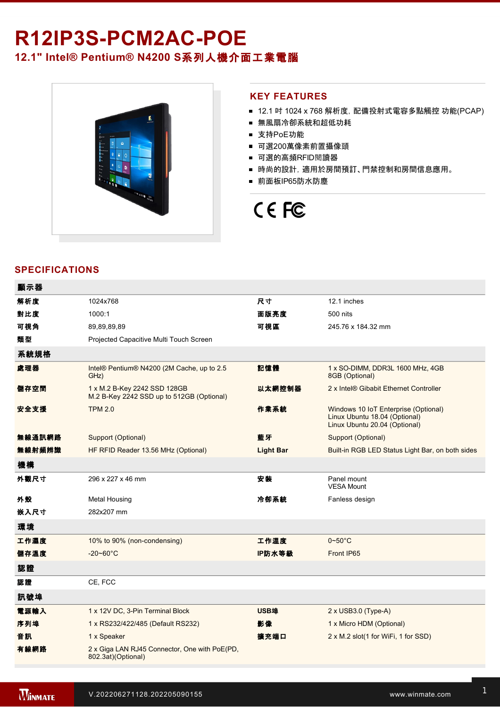# R12IP3S-PCM2AC-POE **12.1" Intel® Pentium® N4200 S**系列人機介面工業電腦



#### **KEY FEATURES**

- 12.1 吋 1024 x 768 解析度, 配備投射式電容多點觸控 功能(PCAP)
- 無風扇冷卻系統和超低功耗
- 支持PoE功能
- 可選200萬像素前置攝像頭
- 可選的高頻RFID閱讀器
- 時尚的設計, 適用於房間預訂、門禁控制和房間信息應用。
- 前面板IP65防水防塵

# CE FC

# **SPECIFICATIONS**

| 顯示器    |                                                                           |                  |                                                                                                        |
|--------|---------------------------------------------------------------------------|------------------|--------------------------------------------------------------------------------------------------------|
| 解析度    | 1024x768                                                                  | 尺寸               | 12.1 inches                                                                                            |
| 對比度    | 1000:1                                                                    | 面版亮度             | 500 nits                                                                                               |
| 可視角    | 89,89,89,89                                                               | 可視區              | 245.76 x 184.32 mm                                                                                     |
| 類型     | Projected Capacitive Multi Touch Screen                                   |                  |                                                                                                        |
| 系統規格   |                                                                           |                  |                                                                                                        |
| 處理器    | Intel® Pentium® N4200 (2M Cache, up to 2.5)<br>GHz)                       | 記憶體              | 1 x SO-DIMM, DDR3L 1600 MHz, 4GB<br>8GB (Optional)                                                     |
| 儲存空間   | 1 x M.2 B-Key 2242 SSD 128GB<br>M.2 B-Key 2242 SSD up to 512GB (Optional) | 以太網控制器           | 2 x Intel® Gibabit Ethernet Controller                                                                 |
| 安全支援   | <b>TPM 2.0</b>                                                            | 作業系統             | Windows 10 IoT Enterprise (Optional)<br>Linux Ubuntu 18.04 (Optional)<br>Linux Ubuntu 20.04 (Optional) |
| 無線通訊網路 | Support (Optional)                                                        | 藍牙               | Support (Optional)                                                                                     |
| 無線射頻辨識 | HF RFID Reader 13.56 MHz (Optional)                                       | <b>Light Bar</b> | Built-in RGB LED Status Light Bar, on both sides                                                       |
| 機構     |                                                                           |                  |                                                                                                        |
| 外觀尺寸   | 296 x 227 x 46 mm                                                         | 安装               | Panel mount<br><b>VESA Mount</b>                                                                       |
| 外殼     | <b>Metal Housing</b>                                                      | 冷卻系統             | Fanless design                                                                                         |
| 嵌入尺寸   | 282x207 mm                                                                |                  |                                                                                                        |
| 環境     |                                                                           |                  |                                                                                                        |
| 工作濕度   | 10% to 90% (non-condensing)                                               | 工作溫度             | $0\nightharpoonup 50^\circ C$                                                                          |
| 儲存溫度   | $-20 - 60^{\circ}$ C                                                      | IP防水等級           | Front IP65                                                                                             |
| 認證     |                                                                           |                  |                                                                                                        |
| 認證     | CE, FCC                                                                   |                  |                                                                                                        |
| 訊號埠    |                                                                           |                  |                                                                                                        |
| 電源輸入   | 1 x 12V DC, 3-Pin Terminal Block                                          | USB埠             | $2 \times$ USB3.0 (Type-A)                                                                             |
| 序列埠    | 1 x RS232/422/485 (Default RS232)                                         | 影像               | 1 x Micro HDM (Optional)                                                                               |
| 音訊     | 1 x Speaker                                                               | 擴充端口             | 2 x M.2 slot(1 for WiFi, 1 for SSD)                                                                    |
| 有線網路   | 2 x Giga LAN RJ45 Connector, One with PoE(PD,<br>802.3at)(Optional)       |                  |                                                                                                        |
|        |                                                                           |                  |                                                                                                        |

ed 100~240V AC to DC Adapter 200